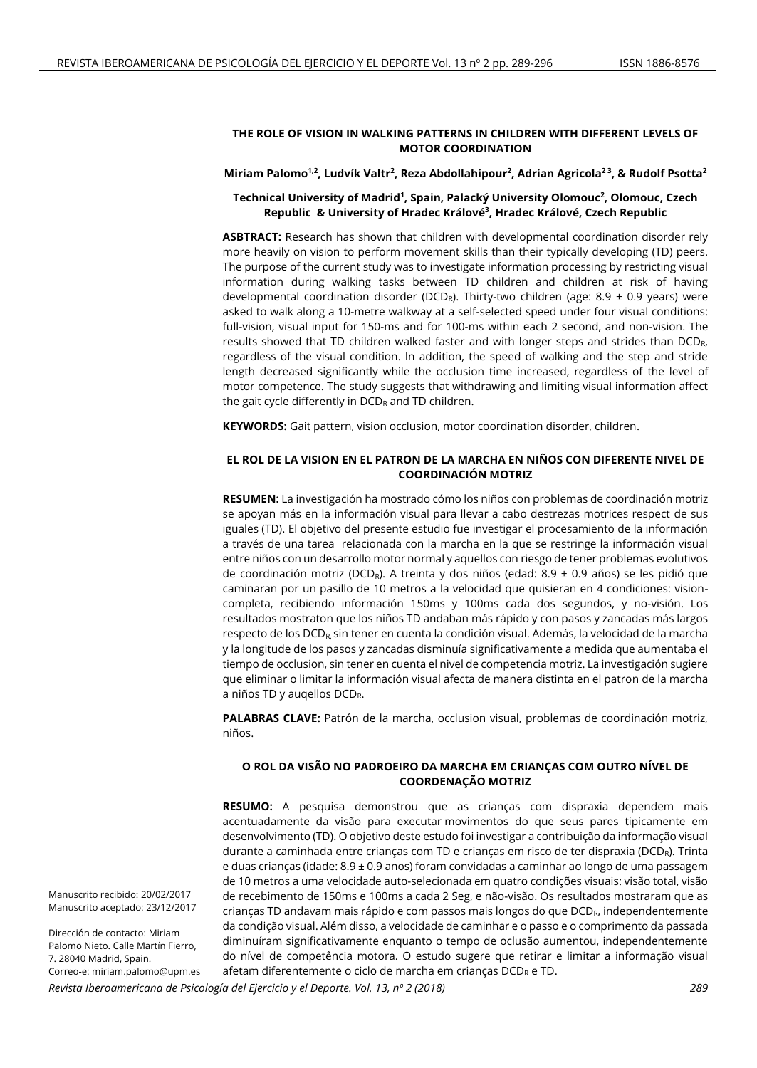## **THE ROLE OF VISION IN WALKING PATTERNS IN CHILDREN WITH DIFFERENT LEVELS OF MOTOR COORDINATION**

**Miriam Palomo1,2, Ludvík Valtr<sup>2</sup> , Reza Abdollahipour<sup>2</sup> , Adrian Agricola2 3 , & Rudolf Psotta<sup>2</sup>**

## **Technical University of Madrid<sup>1</sup> , Spain, Palacký University Olomouc<sup>2</sup> , Olomouc, Czech Republic & University of Hradec Králové<sup>3</sup> , Hradec Králové, Czech Republic**

**ASBTRACT:** Research has shown that children with developmental coordination disorder rely more heavily on vision to perform movement skills than their typically developing (TD) peers. The purpose of the current study was to investigate information processing by restricting visual information during walking tasks between TD children and children at risk of having developmental coordination disorder (DCD<sub>R</sub>). Thirty-two children (age: 8.9  $\pm$  0.9 years) were asked to walk along a 10-metre walkway at a self-selected speed under four visual conditions: full-vision, visual input for 150-ms and for 100-ms within each 2 second, and non-vision. The results showed that TD children walked faster and with longer steps and strides than DCDR, regardless of the visual condition. In addition, the speed of walking and the step and stride length decreased significantly while the occlusion time increased, regardless of the level of motor competence. The study suggests that withdrawing and limiting visual information affect the gait cycle differently in  $DCD_R$  and TD children.

**KEYWORDS:** Gait pattern, vision occlusion, motor coordination disorder, children.

## **EL ROL DE LA VISION EN EL PATRON DE LA MARCHA EN NIÑOS CON DIFERENTE NIVEL DE COORDINACIÓN MOTRIZ**

**RESUMEN:** La investigación ha mostrado cómo los niños con problemas de coordinación motriz se apoyan más en la información visual para llevar a cabo destrezas motrices respect de sus iguales (TD). El objetivo del presente estudio fue investigar el procesamiento de la información a través de una tarea relacionada con la marcha en la que se restringe la información visual entre niños con un desarrollo motor normal y aquellos con riesgo de tener problemas evolutivos de coordinación motriz (DCD<sub>R</sub>). A treinta y dos niños (edad: 8.9 ± 0.9 años) se les pidió que caminaran por un pasillo de 10 metros a la velocidad que quisieran en 4 condiciones: visioncompleta, recibiendo información 150ms y 100ms cada dos segundos, y no-visión. Los resultados mostraton que los niños TD andaban más rápido y con pasos y zancadas más largos respecto de los  $DCD_R$ , sin tener en cuenta la condición visual. Además, la velocidad de la marcha y la longitude de los pasos y zancadas disminuía significativamente a medida que aumentaba el tiempo de occlusion, sin tener en cuenta el nivel de competencia motriz. La investigación sugiere que eliminar o limitar la información visual afecta de manera distinta en el patron de la marcha a niños TD y auqellos DCDR.

**PALABRAS CLAVE:** Patrón de la marcha, occlusion visual, problemas de coordinación motriz, niños.

## **O ROL DA VISÃO NO PADROEIRO DA MARCHA EM CRIANÇAS COM OUTRO NÍVEL DE COORDENAÇÃO MOTRIZ**

**RESUMO:** A pesquisa demonstrou que as crianças com dispraxia dependem mais acentuadamente da visão para executar movimentos do que seus pares tipicamente em desenvolvimento (TD). O objetivo deste estudo foi investigar a contribuição da informação visual durante a caminhada entre crianças com TD e crianças em risco de ter dispraxia (DCDR). Trinta e duas crianças (idade: 8.9 ± 0.9 anos) foram convidadas a caminhar ao longo de uma passagem de 10 metros a uma velocidade auto-selecionada em quatro condições visuais: visão total, visão de recebimento de 150ms e 100ms a cada 2 Seg, e não-visão. Os resultados mostraram que as crianças TD andavam mais rápido e com passos mais longos do que  $DCD<sub>R</sub>$ , independentemente da condição visual. Além disso, a velocidade de caminhar e o passo e o comprimento da passada diminuíram significativamente enquanto o tempo de oclusão aumentou, independentemente do nível de competência motora. O estudo sugere que retirar e limitar a informação visual afetam diferentemente o ciclo de marcha em crianças DCDR e TD.

Manuscrito recibido: 20/02/2017 Manuscrito aceptado: 23/12/2017

Dirección de contacto: Miriam Palomo Nieto. Calle Martín Fierro, 7. 28040 Madrid, Spain. Correo-e: miriam.palomo@upm.es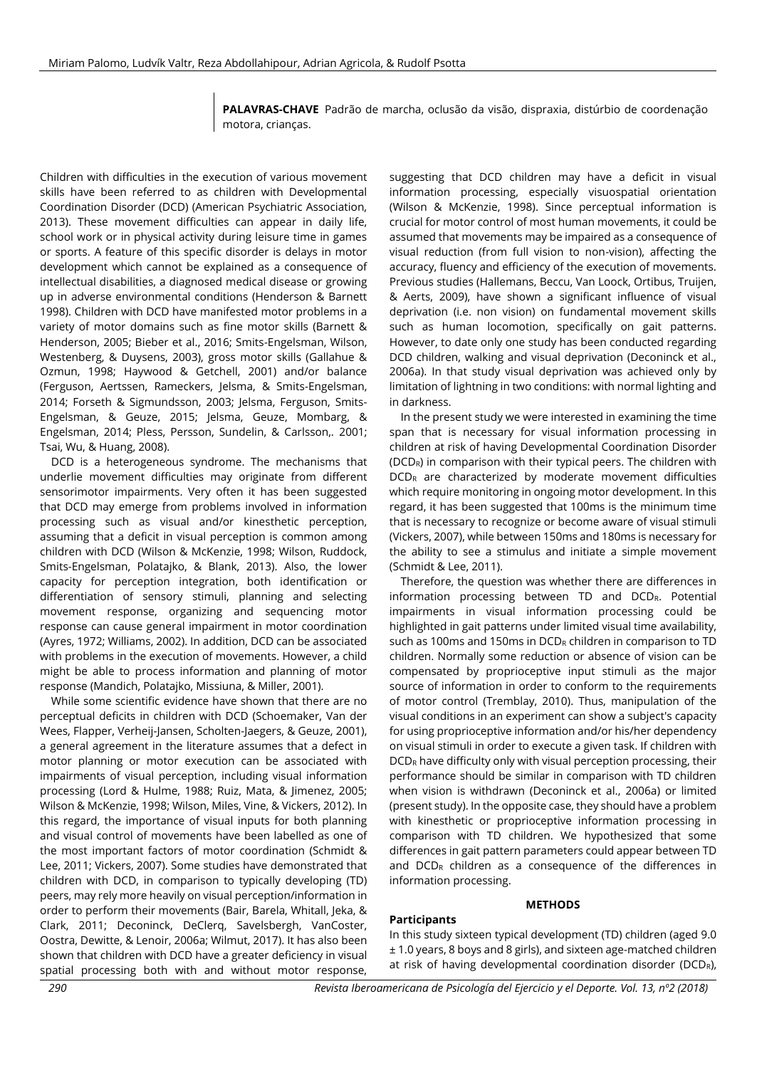**PALAVRAS-CHAVE** Padrão de marcha, oclusão da visão, dispraxia, distúrbio de coordenação motora, crianças.

Children with difficulties in the execution of various movement skills have been referred to as children with Developmental Coordination Disorder (DCD) (American Psychiatric Association, 2013). These movement difficulties can appear in daily life, school work or in physical activity during leisure time in games or sports. A feature of this specific disorder is delays in motor development which cannot be explained as a consequence of intellectual disabilities, a diagnosed medical disease or growing up in adverse environmental conditions (Henderson & Barnett 1998). Children with DCD have manifested motor problems in a variety of motor domains such as fine motor skills (Barnett & Henderson, 2005; Bieber et al., 2016; Smits-Engelsman, Wilson, Westenberg, & Duysens, 2003), gross motor skills (Gallahue & Ozmun, 1998; Haywood & Getchell, 2001) and/or balance (Ferguson, Aertssen, Rameckers, Jelsma, & Smits-Engelsman, 2014; Forseth & Sigmundsson, 2003; Jelsma, Ferguson, Smits-Engelsman, & Geuze, 2015; Jelsma, Geuze, Mombarg, & Engelsman, 2014; Pless, Persson, Sundelin, & Carlsson,*.* 2001; Tsai, Wu, & Huang, 2008).

DCD is a heterogeneous syndrome. The mechanisms that underlie movement difficulties may originate from different sensorimotor impairments. Very often it has been suggested that DCD may emerge from problems involved in information processing such as visual and/or kinesthetic perception, assuming that a deficit in visual perception is common among children with DCD (Wilson & McKenzie, 1998; Wilson, Ruddock, Smits-Engelsman, Polatajko, & Blank, 2013). Also, the lower capacity for perception integration, both identification or differentiation of sensory stimuli, planning and selecting movement response, organizing and sequencing motor response can cause general impairment in motor coordination (Ayres, 1972; Williams, 2002). In addition, DCD can be associated with problems in the execution of movements. However, a child might be able to process information and planning of motor response (Mandich, Polatajko, Missiuna, & Miller, 2001).

While some scientific evidence have shown that there are no perceptual deficits in children with DCD (Schoemaker, Van der Wees, Flapper, Verheij-Jansen, Scholten-Jaegers, & Geuze, 2001), a general agreement in the literature assumes that a defect in motor planning or motor execution can be associated with impairments of visual perception, including visual information processing (Lord & Hulme, 1988; Ruiz, Mata, & Jimenez, 2005; Wilson & McKenzie, 1998; Wilson, Miles, Vine, & Vickers, 2012). In this regard, the importance of visual inputs for both planning and visual control of movements have been labelled as one of the most important factors of motor coordination (Schmidt & Lee, 2011; Vickers, 2007). Some studies have demonstrated that children with DCD, in comparison to typically developing (TD) peers, may rely more heavily on visual perception/information in order to perform their movements (Bair, Barela, Whitall, Jeka, & Clark, 2011; Deconinck, DeClerq, Savelsbergh, VanCoster, Oostra, Dewitte, & Lenoir, 2006a; Wilmut, 2017). It has also been shown that children with DCD have a greater deficiency in visual spatial processing both with and without motor response,

suggesting that DCD children may have a deficit in visual information processing, especially visuospatial orientation (Wilson & McKenzie, 1998). Since perceptual information is crucial for motor control of most human movements, it could be assumed that movements may be impaired as a consequence of visual reduction (from full vision to non-vision), affecting the accuracy, fluency and efficiency of the execution of movements. Previous studies (Hallemans, Beccu, Van Loock, Ortibus, Truijen, & Aerts, 2009), have shown a significant influence of visual deprivation (i.e. non vision) on fundamental movement skills such as human locomotion, specifically on gait patterns. However, to date only one study has been conducted regarding DCD children, walking and visual deprivation (Deconinck et al., 2006a). In that study visual deprivation was achieved only by limitation of lightning in two conditions: with normal lighting and in darkness.

In the present study we were interested in examining the time span that is necessary for visual information processing in children at risk of having Developmental Coordination Disorder (DCDR) in comparison with their typical peers. The children with DCD<sub>R</sub> are characterized by moderate movement difficulties which require monitoring in ongoing motor development. In this regard, it has been suggested that 100ms is the minimum time that is necessary to recognize or become aware of visual stimuli (Vickers, 2007), while between 150ms and 180ms is necessary for the ability to see a stimulus and initiate a simple movement (Schmidt & Lee, 2011).

Therefore, the question was whether there are differences in information processing between TD and DCDR. Potential impairments in visual information processing could be highlighted in gait patterns under limited visual time availability, such as 100ms and 150ms in  $DCD<sub>R</sub>$  children in comparison to TD children. Normally some reduction or absence of vision can be compensated by proprioceptive input stimuli as the major source of information in order to conform to the requirements of motor control (Tremblay, 2010). Thus, manipulation of the visual conditions in an experiment can show a subject's capacity for using proprioceptive information and/or his/her dependency on visual stimuli in order to execute a given task. If children with  $DCD<sub>R</sub>$  have difficulty only with visual perception processing, their performance should be similar in comparison with TD children when vision is withdrawn (Deconinck et al., 2006a) or limited (present study). In the opposite case, they should have a problem with kinesthetic or proprioceptive information processing in comparison with TD children. We hypothesized that some differences in gait pattern parameters could appear between TD and  $DCD<sub>R</sub>$  children as a consequence of the differences in information processing.

### **METHODS**

**Participants**

In this study sixteen typical development (TD) children (aged 9.0 ± 1.0 years, 8 boys and 8 girls), and sixteen age-matched children at risk of having developmental coordination disorder (DCDR),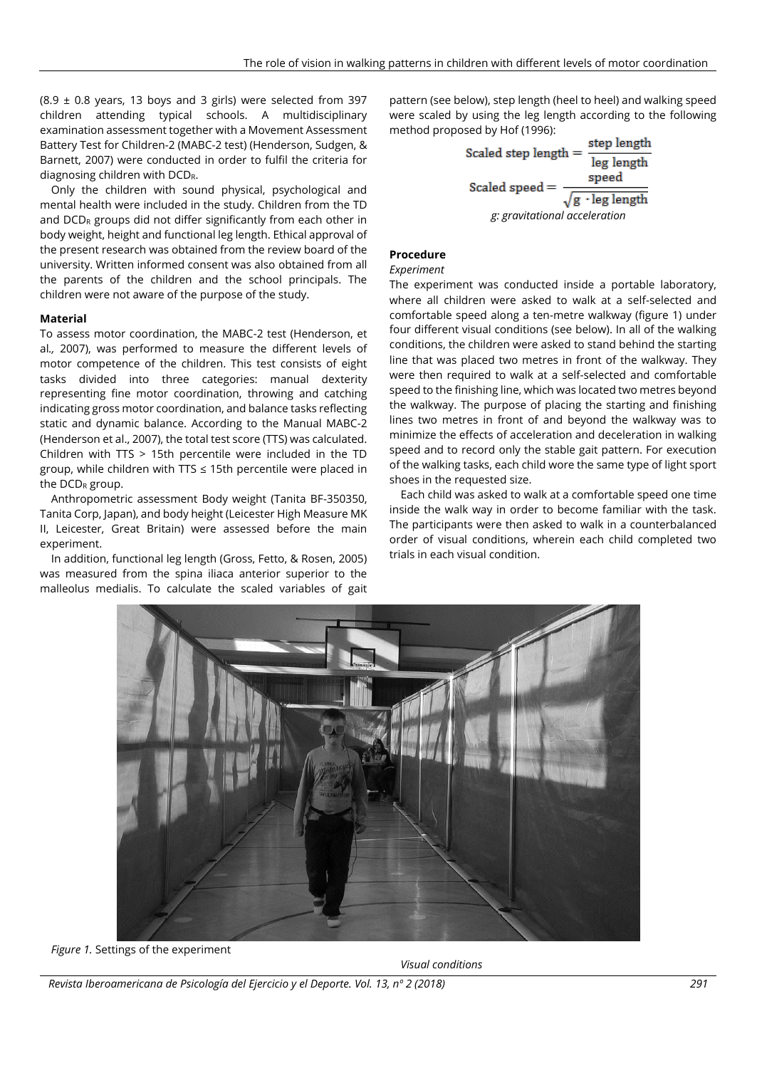$(8.9 \pm 0.8 \text{ years}, 13 \text{ boys}$  and 3 girls) were selected from 397 children attending typical schools. A multidisciplinary examination assessment together with a Movement Assessment Battery Test for Children-2 (MABC-2 test) (Henderson, Sudgen, & Barnett, 2007) were conducted in order to fulfil the criteria for diagnosing children with DCD<sub>R</sub>.

Only the children with sound physical, psychological and mental health were included in the study. Children from the TD and  $DCD<sub>R</sub>$  groups did not differ significantly from each other in body weight, height and functional leg length. Ethical approval of the present research was obtained from the review board of the university. Written informed consent was also obtained from all the parents of the children and the school principals. The children were not aware of the purpose of the study.

#### **Material**

To assess motor coordination, the MABC-2 test (Henderson, et al*.,* 2007), was performed to measure the different levels of motor competence of the children. This test consists of eight tasks divided into three categories: manual dexterity representing fine motor coordination, throwing and catching indicating gross motor coordination, and balance tasks reflecting static and dynamic balance. According to the Manual MABC-2 (Henderson et al., 2007), the total test score (TTS) was calculated. Children with TTS > 15th percentile were included in the TD group, while children with TTS ≤ 15th percentile were placed in the  $DCD_R$  group.

Anthropometric assessment Body weight (Tanita BF-350350, Tanita Corp, Japan), and body height (Leicester High Measure MK II, Leicester, Great Britain) were assessed before the main experiment.

In addition, functional leg length (Gross, Fetto, & Rosen, 2005) was measured from the spina iliaca anterior superior to the malleolus medialis. To calculate the scaled variables of gait

pattern (see below), step length (heel to heel) and walking speed were scaled by using the leg length according to the following method proposed by Hof (1996):

Scaled step length = 
$$
\frac{\text{step length}}{\text{leg length}}
$$

\nScaled speed =  $\frac{\text{speed}}{\sqrt{g \cdot \text{leg length}}}$ 

\n $g: gravitational acceleration$ 

# **Procedure**

### *Experiment*

The experiment was conducted inside a portable laboratory, where all children were asked to walk at a self-selected and comfortable speed along a ten-metre walkway (figure 1) under four different visual conditions (see below). In all of the walking conditions, the children were asked to stand behind the starting line that was placed two metres in front of the walkway. They were then required to walk at a self-selected and comfortable speed to the finishing line, which was located two metres beyond the walkway. The purpose of placing the starting and finishing lines two metres in front of and beyond the walkway was to minimize the effects of acceleration and deceleration in walking speed and to record only the stable gait pattern. For execution of the walking tasks, each child wore the same type of light sport shoes in the requested size.

Each child was asked to walk at a comfortable speed one time inside the walk way in order to become familiar with the task. The participants were then asked to walk in a counterbalanced order of visual conditions, wherein each child completed two trials in each visual condition.



*Figure 1.* Settings of the experiment

*Visual conditions*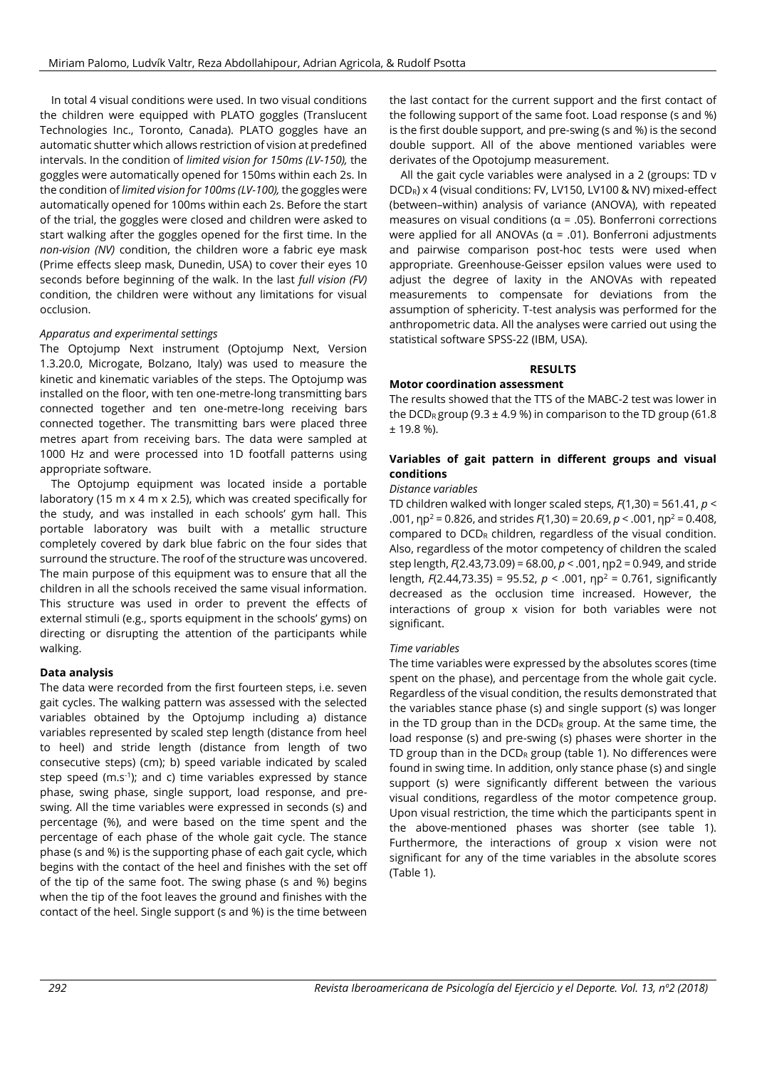In total 4 visual conditions were used. In two visual conditions the children were equipped with PLATO goggles (Translucent Technologies Inc., Toronto, Canada). PLATO goggles have an automatic shutter which allows restriction of vision at predefined intervals. In the condition of *limited vision for 150ms (LV-150),* the goggles were automatically opened for 150ms within each 2s. In the condition of *limited vision for 100ms (LV-100),* the goggles were automatically opened for 100ms within each 2s. Before the start of the trial, the goggles were closed and children were asked to start walking after the goggles opened for the first time. In the *non-vision (NV)* condition, the children wore a fabric eye mask (Prime effects sleep mask, Dunedin, USA) to cover their eyes 10 seconds before beginning of the walk. In the last *full vision (FV)* condition, the children were without any limitations for visual occlusion.

#### *Apparatus and experimental settings*

The Optojump Next instrument (Optojump Next, Version 1.3.20.0, Microgate, Bolzano, Italy) was used to measure the kinetic and kinematic variables of the steps. The Optojump was installed on the floor, with ten one-metre-long transmitting bars connected together and ten one-metre-long receiving bars connected together. The transmitting bars were placed three metres apart from receiving bars. The data were sampled at 1000 Hz and were processed into 1D footfall patterns using appropriate software.

The Optojump equipment was located inside a portable laboratory (15 m x 4 m x 2.5), which was created specifically for the study, and was installed in each schools' gym hall. This portable laboratory was built with a metallic structure completely covered by dark blue fabric on the four sides that surround the structure. The roof of the structure was uncovered. The main purpose of this equipment was to ensure that all the children in all the schools received the same visual information. This structure was used in order to prevent the effects of external stimuli (e.g., sports equipment in the schools' gyms) on directing or disrupting the attention of the participants while walking.

#### **Data analysis**

The data were recorded from the first fourteen steps, i.e. seven gait cycles. The walking pattern was assessed with the selected variables obtained by the Optojump including a) distance variables represented by scaled step length (distance from heel to heel) and stride length (distance from length of two consecutive steps) (cm); b) speed variable indicated by scaled step speed (m.s<sup>-1</sup>); and c) time variables expressed by stance phase, swing phase, single support, load response, and preswing. All the time variables were expressed in seconds (s) and percentage (%), and were based on the time spent and the percentage of each phase of the whole gait cycle. The stance phase (s and %) is the supporting phase of each gait cycle, which begins with the contact of the heel and finishes with the set off of the tip of the same foot. The swing phase (s and %) begins when the tip of the foot leaves the ground and finishes with the contact of the heel. Single support (s and %) is the time between

the last contact for the current support and the first contact of the following support of the same foot. Load response (s and %) is the first double support, and pre-swing (s and %) is the second double support. All of the above mentioned variables were derivates of the Opotojump measurement.

All the gait cycle variables were analysed in a 2 (groups: TD v DCDR) x 4 (visual conditions: FV, LV150, LV100 & NV) mixed-effect (between–within) analysis of variance (ANOVA), with repeated measures on visual conditions ( $\alpha$  = .05). Bonferroni corrections were applied for all ANOVAs ( $\alpha$  = .01). Bonferroni adjustments and pairwise comparison post-hoc tests were used when appropriate. Greenhouse-Geisser epsilon values were used to adjust the degree of laxity in the ANOVAs with repeated measurements to compensate for deviations from the assumption of sphericity. T-test analysis was performed for the anthropometric data. All the analyses were carried out using the statistical software SPSS-22 (IBM, USA).

## **RESULTS**

#### **Motor coordination assessment**

The results showed that the TTS of the MABC-2 test was lower in the DCD<sub>R</sub> group (9.3  $\pm$  4.9 %) in comparison to the TD group (61.8 ± 19.8 %).

## **Variables of gait pattern in different groups and visual conditions**

## *Distance variables*

TD children walked with longer scaled steps, *F*(1,30) = 561.41, *p* < .001, ηp<sup>2</sup> = 0.826, and strides *F*(1,30) = 20.69, *p* < .001, ηp<sup>2</sup> = 0.408, compared to  $DCD<sub>R</sub>$  children, regardless of the visual condition. Also, regardless of the motor competency of children the scaled step length, *F*(2.43,73.09) = 68.00, *p* < .001, ηp2 = 0.949, and stride length, *F*(2.44,73.35) = 95.52, *p* < .001, ηp<sup>2</sup> = 0.761, significantly decreased as the occlusion time increased. However, the interactions of group x vision for both variables were not significant.

#### *Time variables*

The time variables were expressed by the absolutes scores (time spent on the phase), and percentage from the whole gait cycle. Regardless of the visual condition, the results demonstrated that the variables stance phase (s) and single support (s) was longer in the TD group than in the  $DCD<sub>R</sub>$  group. At the same time, the load response (s) and pre-swing (s) phases were shorter in the TD group than in the  $DCD<sub>R</sub>$  group (table 1). No differences were found in swing time. In addition, only stance phase (s) and single support (s) were significantly different between the various visual conditions, regardless of the motor competence group. Upon visual restriction, the time which the participants spent in the above-mentioned phases was shorter (see table 1). Furthermore, the interactions of group x vision were not significant for any of the time variables in the absolute scores (Table 1).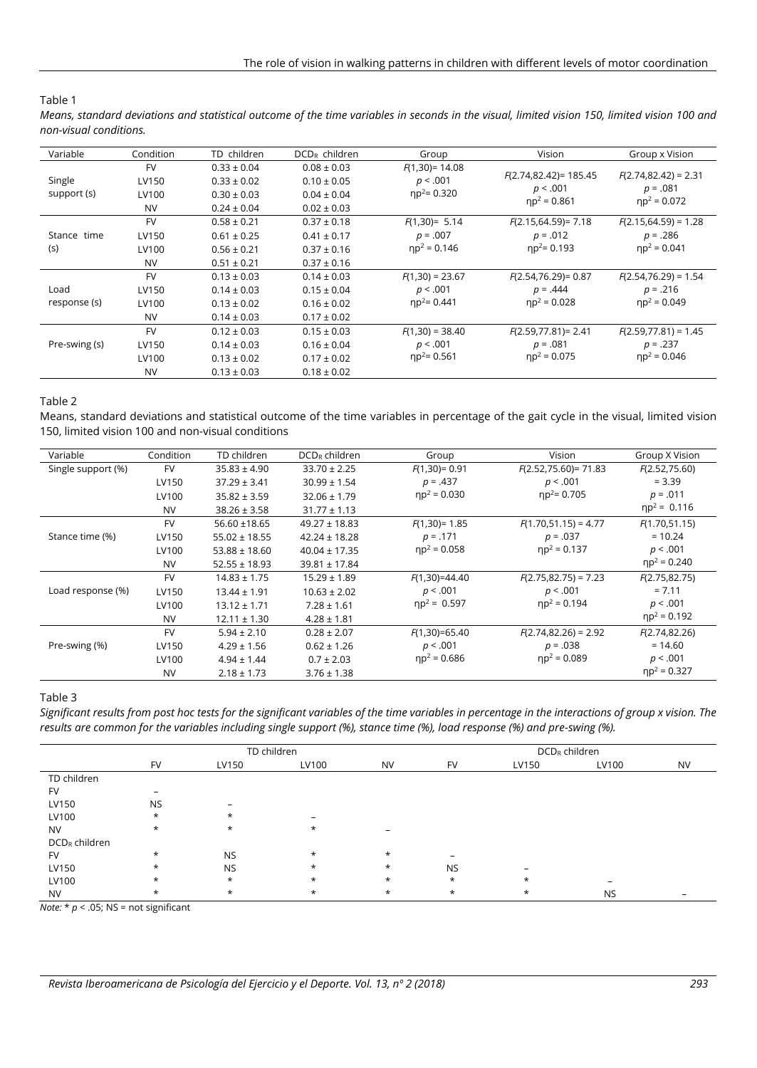# Table 1

*Means, standard deviations and statistical outcome of the time variables in seconds in the visual, limited vision 150, limited vision 100 and non-visual conditions.*

| Variable              | Condition                                | TD children                                                              | DCD <sub>R</sub> children                                                | Group                                            | Vision                                                  | Group x Vision                                          |
|-----------------------|------------------------------------------|--------------------------------------------------------------------------|--------------------------------------------------------------------------|--------------------------------------------------|---------------------------------------------------------|---------------------------------------------------------|
| Single<br>support (s) | <b>FV</b><br>LV150<br>LV100<br><b>NV</b> | $0.33 \pm 0.04$<br>$0.33 \pm 0.02$<br>$0.30 \pm 0.03$<br>$0.24 \pm 0.04$ | $0.08 \pm 0.03$<br>$0.10 \pm 0.05$<br>$0.04 \pm 0.04$<br>$0.02 \pm 0.03$ | $F(1,30) = 14.08$<br>p < .001<br>$np^2 = 0.320$  | $F(2.74, 82.42) = 185.45$<br>p < .001<br>$np^2 = 0.861$ | $F(2.74, 82.42) = 2.31$<br>$p = .081$<br>$np^2 = 0.072$ |
| Stance time<br>(s)    | <b>FV</b><br>LV150<br>LV100<br><b>NV</b> | $0.58 \pm 0.21$<br>$0.61 \pm 0.25$<br>$0.56 \pm 0.21$<br>$0.51 \pm 0.21$ | $0.37 \pm 0.18$<br>$0.41 \pm 0.17$<br>$0.37 \pm 0.16$<br>$0.37 \pm 0.16$ | $F(1,30) = 5.14$<br>$p = .007$<br>$np^2 = 0.146$ | $F(2.15,64.59) = 7.18$<br>$p = .012$<br>$np^2 = 0.193$  | $F(2.15,64.59) = 1.28$<br>$p = .286$<br>$np^2 = 0.041$  |
| Load<br>response (s)  | <b>FV</b><br>LV150<br>LV100<br><b>NV</b> | $0.13 \pm 0.03$<br>$0.14 \pm 0.03$<br>$0.13 \pm 0.02$<br>$0.14 \pm 0.03$ | $0.14 \pm 0.03$<br>$0.15 \pm 0.04$<br>$0.16 \pm 0.02$<br>$0.17 \pm 0.02$ | $F(1,30) = 23.67$<br>p < .001<br>$np^2 = 0.441$  | $F(2.54, 76.29) = 0.87$<br>$p = .444$<br>$np^2 = 0.028$ | $F(2.54, 76.29) = 1.54$<br>$p = .216$<br>$np^2 = 0.049$ |
| Pre-swing (s)         | <b>FV</b><br>LV150<br>LV100<br><b>NV</b> | $0.12 \pm 0.03$<br>$0.14 \pm 0.03$<br>$0.13 \pm 0.02$<br>$0.13 \pm 0.03$ | $0.15 \pm 0.03$<br>$0.16 \pm 0.04$<br>$0.17 \pm 0.02$<br>$0.18 \pm 0.02$ | $F(1,30) = 38.40$<br>p < .001<br>$np^2 = 0.561$  | $F(2.59, 77.81) = 2.41$<br>$p = .081$<br>$np^2 = 0.075$ | $F(2.59, 77.81) = 1.45$<br>$p = .237$<br>$np^2 = 0.046$ |

## Table 2

Means, standard deviations and statistical outcome of the time variables in percentage of the gait cycle in the visual, limited vision 150, limited vision 100 and non-visual conditions

| Variable           | Condition | TD children       | $DCD_R$ children  | Group            | Vision                       | Group X Vision       |
|--------------------|-----------|-------------------|-------------------|------------------|------------------------------|----------------------|
| Single support (%) | <b>FV</b> | $35.83 \pm 4.90$  | $33.70 \pm 2.25$  | $F(1,30) = 0.91$ | $F(2.52,75.60) = 71.83$      | F(2.52, 75.60)       |
|                    | LV150     | $37.29 \pm 3.41$  | $30.99 \pm 1.54$  | $p = .437$       | p < .001                     | $= 3.39$             |
|                    | LV100     | $35.82 \pm 3.59$  | $32.06 \pm 1.79$  | $np^2 = 0.030$   | $np^2 = 0.705$               | $p = .011$           |
|                    | <b>NV</b> | $38.26 \pm 3.58$  | $31.77 \pm 1.13$  |                  |                              | $np^2 = 0.116$       |
|                    | <b>FV</b> | 56.60 ±18.65      | $49.27 \pm 18.83$ | $F(1,30) = 1.85$ | $F(1.70, 51.15) = 4.77$      | F(1.70, 51.15)       |
| Stance time (%)    | LV150     | $55.02 \pm 18.55$ | $42.24 \pm 18.28$ | $p = .171$       | $p = .037$                   | $= 10.24$            |
|                    | LV100     | $53.88 \pm 18.60$ | $40.04 \pm 17.35$ | $np^2 = 0.058$   | $np^2 = 0.137$               | p < .001             |
|                    | <b>NV</b> | $52.55 \pm 18.93$ | $39.81 \pm 17.84$ |                  |                              | $np^2 = 0.240$       |
|                    | <b>FV</b> | $14.83 \pm 1.75$  | $15.29 \pm 1.89$  | $F(1,30)=44.40$  | $F(2.75, 82.75) = 7.23$      | F(2.75, 82.75)       |
| Load response (%)  | LV150     | $13.44 \pm 1.91$  | $10.63 \pm 2.02$  | p < .001         | p < .001<br>$np^2 = 0.194$   | $= 7.11$<br>p < .001 |
|                    | LV100     | $13.12 \pm 1.71$  | $7.28 \pm 1.61$   | $np^2 = 0.597$   |                              |                      |
|                    | <b>NV</b> | $12.11 \pm 1.30$  | $4.28 \pm 1.81$   |                  |                              | $np^2 = 0.192$       |
|                    | <b>FV</b> | $5.94 \pm 2.10$   | $0.28 \pm 2.07$   | $F(1,30)=65.40$  | $F(2.74, 82.26) = 2.92$      | F(2.74, 82.26)       |
| Pre-swing (%)      | LV150     | $4.29 \pm 1.56$   | $0.62 \pm 1.26$   | p < .001         | $p = .038$<br>$np^2 = 0.089$ | $= 14.60$            |
|                    | LV100     | $4.94 \pm 1.44$   | $0.7 \pm 2.03$    | $np^2 = 0.686$   |                              | p < .001             |
|                    | <b>NV</b> | $2.18 \pm 1.73$   | $3.76 \pm 1.38$   |                  |                              | $np^2 = 0.327$       |

#### Table 3

Significant results from post hoc tests for the significant variables of the time variables in percentage in the interactions of group x vision. The *results are common for the variables including single support (%), stance time (%), load response (%) and pre-swing (%).*

|                  | TD children |           |         |                          | DCD <sub>R</sub> children |         |           |           |
|------------------|-------------|-----------|---------|--------------------------|---------------------------|---------|-----------|-----------|
|                  | <b>FV</b>   | LV150     | LV100   | <b>NV</b>                | <b>FV</b>                 | LV150   | LV100     | <b>NV</b> |
| TD children      |             |           |         |                          |                           |         |           |           |
| <b>FV</b>        |             |           |         |                          |                           |         |           |           |
| LV150            | <b>NS</b>   |           |         |                          |                           |         |           |           |
| LV100            | $\star$     | $\star$   |         |                          |                           |         |           |           |
| <b>NV</b>        | $\star$     | $\star$   | $\star$ | $\overline{\phantom{0}}$ |                           |         |           |           |
| $DCD_R$ children |             |           |         |                          |                           |         |           |           |
| <b>FV</b>        | $\star$     | <b>NS</b> | $\star$ | $\star$                  |                           |         |           |           |
| LV150            | $\star$     | <b>NS</b> | $\star$ | $\star$                  | <b>NS</b>                 |         |           |           |
| LV100            | $\star$     | $\star$   | $\star$ | $\star$                  | $\star$                   | $\star$ |           |           |
| <b>NV</b>        | $\star$     | $\star$   | $\ast$  | $\star$                  | $\star$                   | $\ast$  | <b>NS</b> |           |

*Note:*  $* p < .05$ ; NS = not significant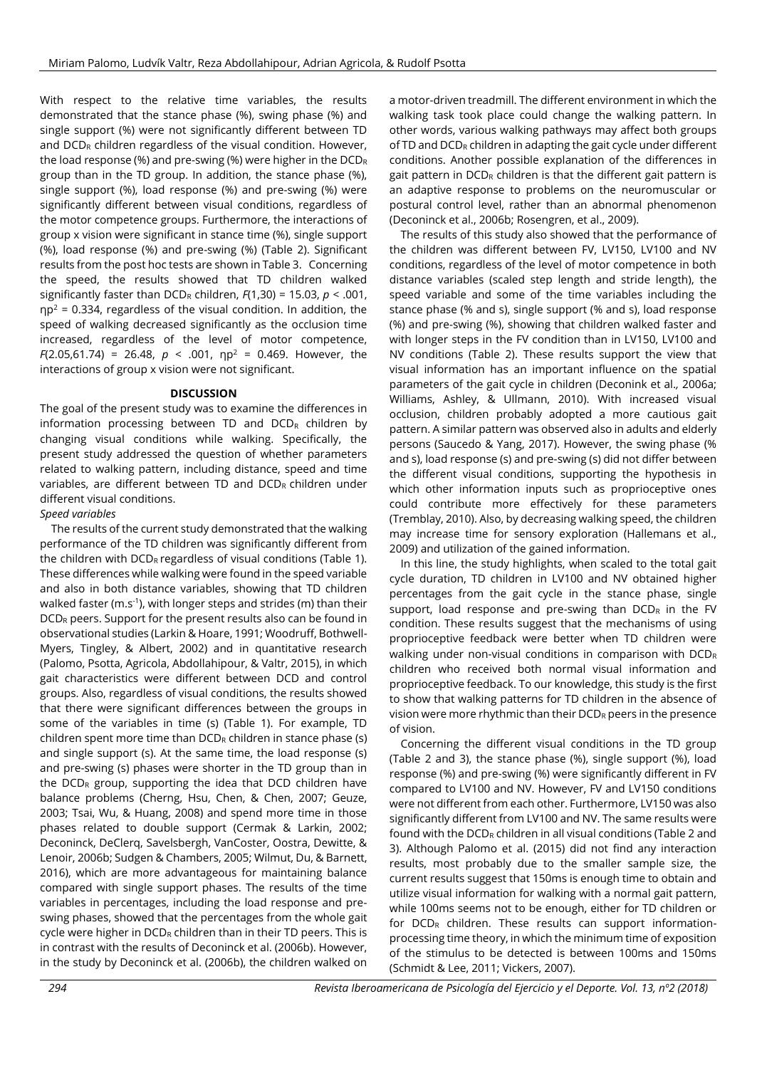With respect to the relative time variables, the results demonstrated that the stance phase (%), swing phase (%) and single support (%) were not significantly different between TD and  $DCD<sub>R</sub>$  children regardless of the visual condition. However, the load response (%) and pre-swing (%) were higher in the DCD<sup>R</sup> group than in the TD group. In addition, the stance phase (%), single support (%), load response (%) and pre-swing (%) were significantly different between visual conditions, regardless of the motor competence groups. Furthermore, the interactions of group x vision were significant in stance time (%), single support (%), load response (%) and pre-swing (%) (Table 2). Significant results from the post hoc tests are shown in Table 3. Concerning the speed, the results showed that TD children walked significantly faster than DCD<sup>R</sup> children, *F*(1,30) = 15.03, *p* < .001,  $np^2$  = 0.334, regardless of the visual condition. In addition, the speed of walking decreased significantly as the occlusion time increased, regardless of the level of motor competence, *F*(2.05,61.74) = 26.48, *p* < .001, ηp<sup>2</sup> = 0.469. However, the interactions of group x vision were not significant.

#### **DISCUSSION**

The goal of the present study was to examine the differences in information processing between TD and  $DCD<sub>R</sub>$  children by changing visual conditions while walking. Specifically, the present study addressed the question of whether parameters related to walking pattern, including distance, speed and time variables, are different between TD and  $DCD<sub>R</sub>$  children under different visual conditions.

## *Speed variables*

The results of the current study demonstrated that the walking performance of the TD children was significantly different from the children with  $DCD<sub>R</sub>$  regardless of visual conditions (Table 1). These differences while walking were found in the speed variable and also in both distance variables, showing that TD children walked faster (m.s<sup>-1</sup>), with longer steps and strides (m) than their DCD<sub>R</sub> peers. Support for the present results also can be found in observational studies (Larkin & Hoare, 1991; Woodruff, Bothwell-Myers, Tingley, & Albert, 2002) and in quantitative research (Palomo, Psotta, Agricola, Abdollahipour, & Valtr, 2015), in which gait characteristics were different between DCD and control groups. Also, regardless of visual conditions, the results showed that there were significant differences between the groups in some of the variables in time (s) (Table 1). For example, TD children spent more time than  $DCD_R$  children in stance phase (s) and single support (s). At the same time, the load response (s) and pre-swing (s) phases were shorter in the TD group than in the  $DCD<sub>R</sub>$  group, supporting the idea that DCD children have balance problems (Cherng, Hsu, Chen, & Chen, 2007; Geuze, 2003; Tsai, Wu, & Huang, 2008) and spend more time in those phases related to double support (Cermak & Larkin, 2002; Deconinck, DeClerq, Savelsbergh, VanCoster, Oostra, Dewitte, & Lenoir, 2006b; Sudgen & Chambers, 2005; Wilmut, Du, & Barnett, 2016), which are more advantageous for maintaining balance compared with single support phases. The results of the time variables in percentages, including the load response and preswing phases, showed that the percentages from the whole gait cycle were higher in DCD<sub>R</sub> children than in their TD peers. This is in contrast with the results of Deconinck et al. (2006b). However, in the study by Deconinck et al. (2006b), the children walked on

a motor-driven treadmill. The different environment in which the walking task took place could change the walking pattern. In other words, various walking pathways may affect both groups of TD and  $DCD_R$  children in adapting the gait cycle under different conditions. Another possible explanation of the differences in gait pattern in  $DCD_R$  children is that the different gait pattern is an adaptive response to problems on the neuromuscular or postural control level, rather than an abnormal phenomenon (Deconinck et al., 2006b; Rosengren, et al., 2009).

The results of this study also showed that the performance of the children was different between FV, LV150, LV100 and NV conditions, regardless of the level of motor competence in both distance variables (scaled step length and stride length), the speed variable and some of the time variables including the stance phase (% and s), single support (% and s), load response (%) and pre-swing (%), showing that children walked faster and with longer steps in the FV condition than in LV150, LV100 and NV conditions (Table 2). These results support the view that visual information has an important influence on the spatial parameters of the gait cycle in children (Deconink et al.*,* 2006a; Williams, Ashley, & Ullmann, 2010). With increased visual occlusion, children probably adopted a more cautious gait pattern. A similar pattern was observed also in adults and elderly persons (Saucedo & Yang, 2017). However, the swing phase (% and s), load response (s) and pre-swing (s) did not differ between the different visual conditions, supporting the hypothesis in which other information inputs such as proprioceptive ones could contribute more effectively for these parameters (Tremblay, 2010). Also, by decreasing walking speed, the children may increase time for sensory exploration (Hallemans et al., 2009) and utilization of the gained information.

In this line, the study highlights, when scaled to the total gait cycle duration, TD children in LV100 and NV obtained higher percentages from the gait cycle in the stance phase, single support, load response and pre-swing than  $DCD<sub>R</sub>$  in the FV condition. These results suggest that the mechanisms of using proprioceptive feedback were better when TD children were walking under non-visual conditions in comparison with DCD<sup>R</sup> children who received both normal visual information and proprioceptive feedback. To our knowledge, this study is the first to show that walking patterns for TD children in the absence of vision were more rhythmic than their  $DCD<sub>R</sub>$  peers in the presence of vision.

Concerning the different visual conditions in the TD group (Table 2 and 3), the stance phase (%), single support (%), load response (%) and pre-swing (%) were significantly different in FV compared to LV100 and NV. However, FV and LV150 conditions were not different from each other. Furthermore, LV150 was also significantly different from LV100 and NV. The same results were found with the  $DCD_R$  children in all visual conditions (Table 2 and 3). Although Palomo et al. (2015) did not find any interaction results, most probably due to the smaller sample size, the current results suggest that 150ms is enough time to obtain and utilize visual information for walking with a normal gait pattern, while 100ms seems not to be enough, either for TD children or for DCD<sub>R</sub> children. These results can support informationprocessing time theory, in which the minimum time of exposition of the stimulus to be detected is between 100ms and 150ms (Schmidt & Lee, 2011; Vickers, 2007).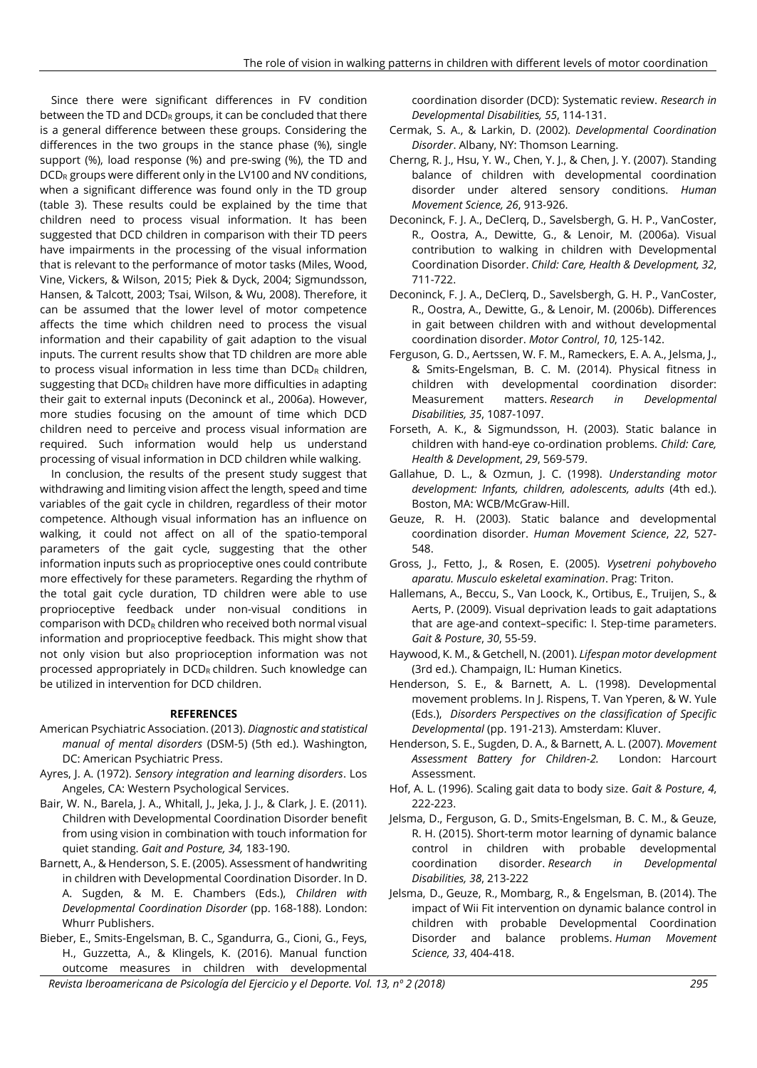Since there were significant differences in FV condition between the TD and  $DCD_R$  groups, it can be concluded that there is a general difference between these groups. Considering the differences in the two groups in the stance phase (%), single support (%), load response (%) and pre-swing (%), the TD and  $DCD<sub>R</sub>$  groups were different only in the LV100 and NV conditions, when a significant difference was found only in the TD group (table 3). These results could be explained by the time that children need to process visual information. It has been suggested that DCD children in comparison with their TD peers have impairments in the processing of the visual information that is relevant to the performance of motor tasks (Miles, Wood, Vine, Vickers, & Wilson, 2015; Piek & Dyck, 2004; Sigmundsson, Hansen, & Talcott, 2003; Tsai, Wilson, & Wu, 2008). Therefore, it can be assumed that the lower level of motor competence affects the time which children need to process the visual information and their capability of gait adaption to the visual inputs. The current results show that TD children are more able to process visual information in less time than  $DCD<sub>R</sub>$  children, suggesting that  $DCD_R$  children have more difficulties in adapting their gait to external inputs (Deconinck et al., 2006a). However, more studies focusing on the amount of time which DCD children need to perceive and process visual information are required. Such information would help us understand processing of visual information in DCD children while walking.

In conclusion, the results of the present study suggest that withdrawing and limiting vision affect the length, speed and time variables of the gait cycle in children, regardless of their motor competence. Although visual information has an influence on walking, it could not affect on all of the spatio-temporal parameters of the gait cycle, suggesting that the other information inputs such as proprioceptive ones could contribute more effectively for these parameters. Regarding the rhythm of the total gait cycle duration, TD children were able to use proprioceptive feedback under non-visual conditions in comparison with DCD<sub>R</sub> children who received both normal visual information and proprioceptive feedback. This might show that not only vision but also proprioception information was not processed appropriately in  $DCD_R$  children. Such knowledge can be utilized in intervention for DCD children.

#### **REFERENCES**

- American Psychiatric Association. (2013). *Diagnostic and statistical manual of mental disorders* (DSM-5) (5th ed.). Washington, DC: American Psychiatric Press.
- Ayres, J. A. (1972). *Sensory integration and learning disorders*. Los Angeles, CA: Western Psychological Services.
- Bair, W. N., Barela, J. A., Whitall, J., Jeka, J. J., & Clark, J. E. (2011). Children with Developmental Coordination Disorder benefit from using vision in combination with touch information for quiet standing. *Gait and Posture, 34,* 183-190.
- Barnett, A., & Henderson, S. E. (2005). Assessment of handwriting in children with Developmental Coordination Disorder. In D. A. Sugden, & M. E. Chambers (Eds.), *Children with Developmental Coordination Disorder* (pp. 168-188). London: Whurr Publishers.
- Bieber, E., Smits-Engelsman, B. C., Sgandurra, G., Cioni, G., Feys, H., Guzzetta, A., & Klingels, K. (2016). Manual function outcome measures in children with developmental

coordination disorder (DCD): Systematic review. *Research in Developmental Disabilities, 55*, 114-131.

- Cermak, S. A., & Larkin, D. (2002). *Developmental Coordination Disorder*. Albany, NY: Thomson Learning.
- Cherng, R. J., Hsu, Y. W., Chen, Y. J., & Chen, J. Y. (2007). Standing balance of children with developmental coordination disorder under altered sensory conditions. *Human Movement Science, 26*, 913-926.
- Deconinck, F. J. A., DeClerq, D., Savelsbergh, G. H. P., VanCoster, R., Oostra, A., Dewitte, G., & Lenoir, M. (2006a). Visual contribution to walking in children with Developmental Coordination Disorder. *Child: Care, Health & Development, 32*, 711-722.
- Deconinck, F. J. A., DeClerq, D., Savelsbergh, G. H. P., VanCoster, R., Oostra, A., Dewitte, G., & Lenoir, M. (2006b). Differences in gait between children with and without developmental coordination disorder. *Motor Control*, *10*, 125-142.
- Ferguson, G. D., Aertssen, W. F. M., Rameckers, E. A. A., Jelsma, J., & Smits-Engelsman, B. C. M. (2014). Physical fitness in children with developmental coordination disorder: Measurement matters. *Research in Developmental Disabilities, 35*, 1087-1097.
- Forseth, A. K., & Sigmundsson, H. (2003). Static balance in children with hand-eye co-ordination problems. *Child: Care, Health & Development*, *29*, 569-579.
- Gallahue, D. L., & Ozmun, J. C. (1998). *Understanding motor development: Infants, children, adolescents, adults* (4th ed.). Boston, MA: WCB/McGraw-Hill.
- Geuze, R. H. (2003). Static balance and developmental coordination disorder. *Human Movement Science*, *22*, 527- 548.
- Gross, J., Fetto, J., & Rosen, E. (2005). *Vysetreni pohyboveho aparatu. Musculo eskeletal examination*. Prag: Triton.
- Hallemans, A., Beccu, S., Van Loock, K., Ortibus, E., Truijen, S., & Aerts, P. (2009). Visual deprivation leads to gait adaptations that are age-and context–specific: I. Step-time parameters. *Gait & Posture*, *30*, 55-59.
- Haywood, K. M., & Getchell, N. (2001). *Lifespan motor development* (3rd ed.). Champaign, IL: Human Kinetics.
- Henderson, S. E., & Barnett, A. L. (1998). Developmental movement problems. In J. Rispens, T. Van Yperen, & W. Yule (Eds.), *Disorders Perspectives on the classification of Specific Developmental* (pp. 191-213). Amsterdam: Kluver.
- Henderson, S. E., Sugden, D. A., & Barnett, A. L. (2007). *Movement Assessment Battery for Children-2.* London: Harcourt Assessment.
- Hof, A. L. (1996). Scaling gait data to body size. *Gait & Posture*, *4*, 222-223.
- Jelsma, D., Ferguson, G. D., Smits-Engelsman, B. C. M., & Geuze, R. H. (2015). Short-term motor learning of dynamic balance control in children with probable developmental coordination disorder. *Research in Developmental Disabilities, 38*, 213-222
- Jelsma, D., Geuze, R., Mombarg, R., & Engelsman, B. (2014). The impact of Wii Fit intervention on dynamic balance control in children with probable Developmental Coordination Disorder and balance problems. *Human Movement Science, 33*, 404-418.